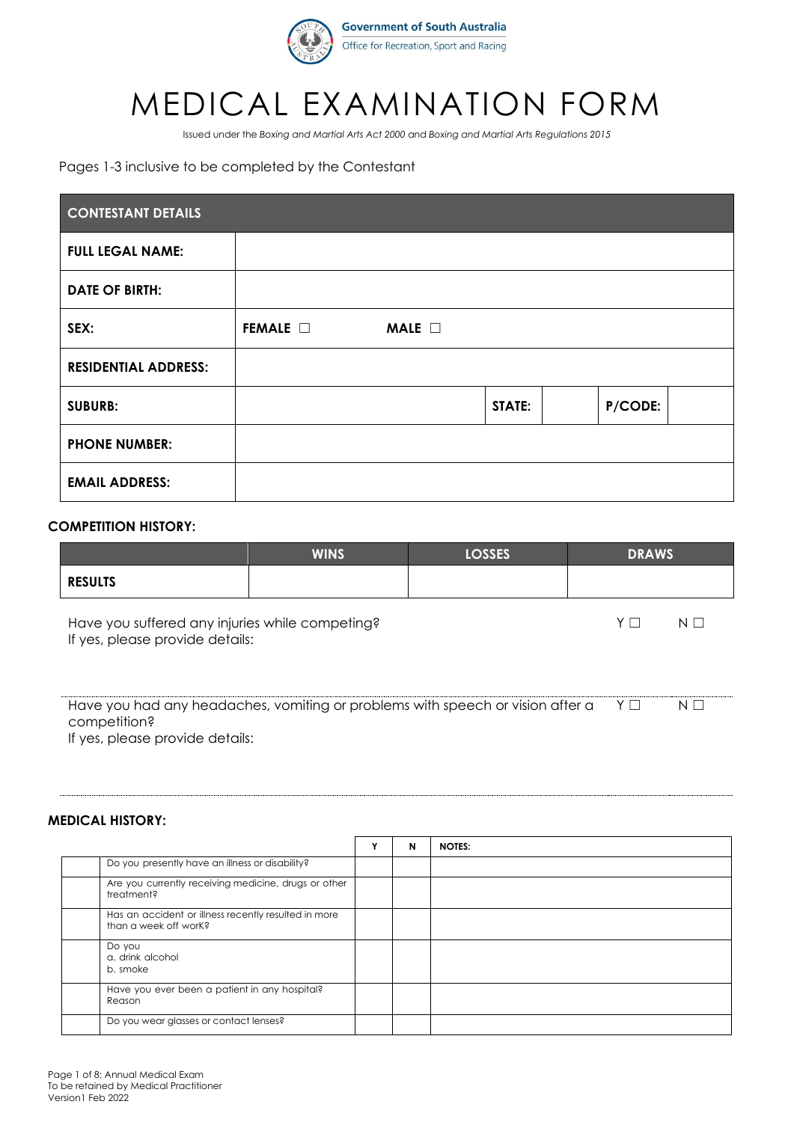

## MEDICAL EXAMINATION FORM

Issued under the *Boxing and Martial Arts Act 2000* and *Boxing and Martial Arts Regulations 2015*

#### Pages 1-3 inclusive to be completed by the Contestant

| <b>CONTESTANT DETAILS</b>   |                  |                |        |         |  |  |  |
|-----------------------------|------------------|----------------|--------|---------|--|--|--|
| <b>FULL LEGAL NAME:</b>     |                  |                |        |         |  |  |  |
| <b>DATE OF BIRTH:</b>       |                  |                |        |         |  |  |  |
| SEX:                        | FEMALE $\square$ | MALE $\square$ |        |         |  |  |  |
| <b>RESIDENTIAL ADDRESS:</b> |                  |                |        |         |  |  |  |
| <b>SUBURB:</b>              |                  |                | STATE: | P/CODE: |  |  |  |
| <b>PHONE NUMBER:</b>        |                  |                |        |         |  |  |  |
| <b>EMAIL ADDRESS:</b>       |                  |                |        |         |  |  |  |

#### **COMPETITION HISTORY:**

|                                                                                            | <b>WINS</b> | <b>LOSSES</b> | <b>DRAWS</b> |          |  |
|--------------------------------------------------------------------------------------------|-------------|---------------|--------------|----------|--|
| <b>RESULTS</b>                                                                             |             |               |              |          |  |
| Have you suffered any injuries while competing?<br>If yes, please provide details:         |             |               | YΓ           | $N \Box$ |  |
| Have you had any headaches, vomiting or problems with speech or vision after a<br>YΓ<br>NI |             |               |              |          |  |

competition?

If yes, please provide details:

#### **MEDICAL HISTORY:**

|                    |                                                                               | N | <b>NOTES:</b> |
|--------------------|-------------------------------------------------------------------------------|---|---------------|
|                    | Do you presently have an illness or disability?                               |   |               |
|                    | Are you currently receiving medicine, drugs or other<br>treatment?            |   |               |
|                    | Has an accident or illness recently resulted in more<br>than a week off work? |   |               |
| Do you<br>b. smoke | a. drink alcohol                                                              |   |               |
| Reason             | Have you ever been a patient in any hospital?                                 |   |               |
|                    | Do you wear glasses or contact lenses?                                        |   |               |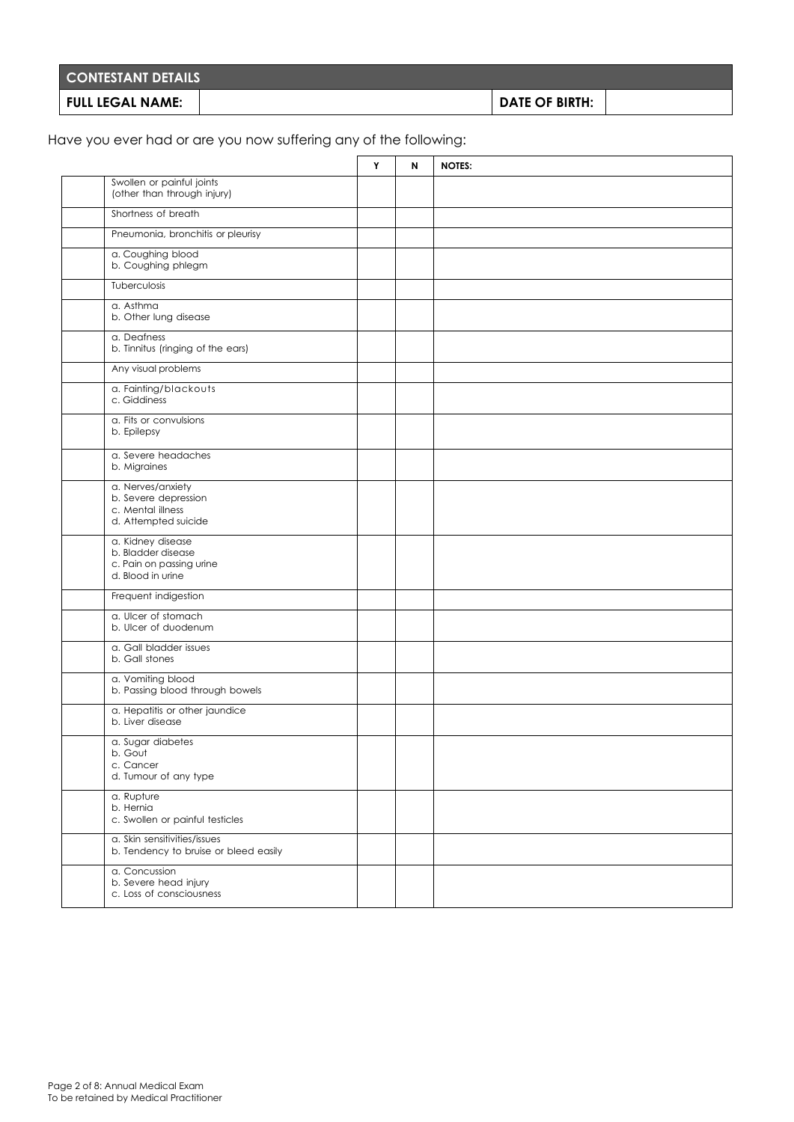| <b>CONTESTANT DETAILS</b> |                |  |
|---------------------------|----------------|--|
| FULL LEGAL NAME:          | DATE OF BIRTH: |  |

Have you ever had or are you now suffering any of the following:

|                                                                                          | Y | N | <b>NOTES:</b> |
|------------------------------------------------------------------------------------------|---|---|---------------|
| Swollen or painful joints<br>(other than through injury)                                 |   |   |               |
| Shortness of breath                                                                      |   |   |               |
| Pneumonia, bronchitis or pleurisy                                                        |   |   |               |
| a. Coughing blood<br>b. Coughing phlegm                                                  |   |   |               |
| Tuberculosis                                                                             |   |   |               |
| a. Asthma<br>b. Other lung disease                                                       |   |   |               |
| a. Deafness<br>b. Tinnitus (ringing of the ears)                                         |   |   |               |
| Any visual problems                                                                      |   |   |               |
| a. Fainting/blackouts<br>c. Giddiness                                                    |   |   |               |
| a. Fits or convulsions<br>b. Epilepsy                                                    |   |   |               |
| a. Severe headaches<br>b. Migraines                                                      |   |   |               |
| a. Nerves/anxiety<br>b. Severe depression<br>c. Mental illness<br>d. Attempted suicide   |   |   |               |
| a. Kidney disease<br>b. Bladder disease<br>c. Pain on passing urine<br>d. Blood in urine |   |   |               |
| Frequent indigestion                                                                     |   |   |               |
| a. Ulcer of stomach<br>b. Ulcer of duodenum                                              |   |   |               |
| a. Gall bladder issues<br>b. Gall stones                                                 |   |   |               |
| a. Vomiting blood<br>b. Passing blood through bowels                                     |   |   |               |
| a. Hepatitis or other jaundice<br>b. Liver disease                                       |   |   |               |
| a. Sugar diabetes<br>b. Gout<br>c. Cancer<br>d. Tumour of any type                       |   |   |               |
| a. Rupture<br>b. Hernia<br>c. Swollen or painful testicles                               |   |   |               |
| a. Skin sensitivities/issues<br>b. Tendency to bruise or bleed easily                    |   |   |               |
| a. Concussion<br>b. Severe head injury<br>c. Loss of consciousness                       |   |   |               |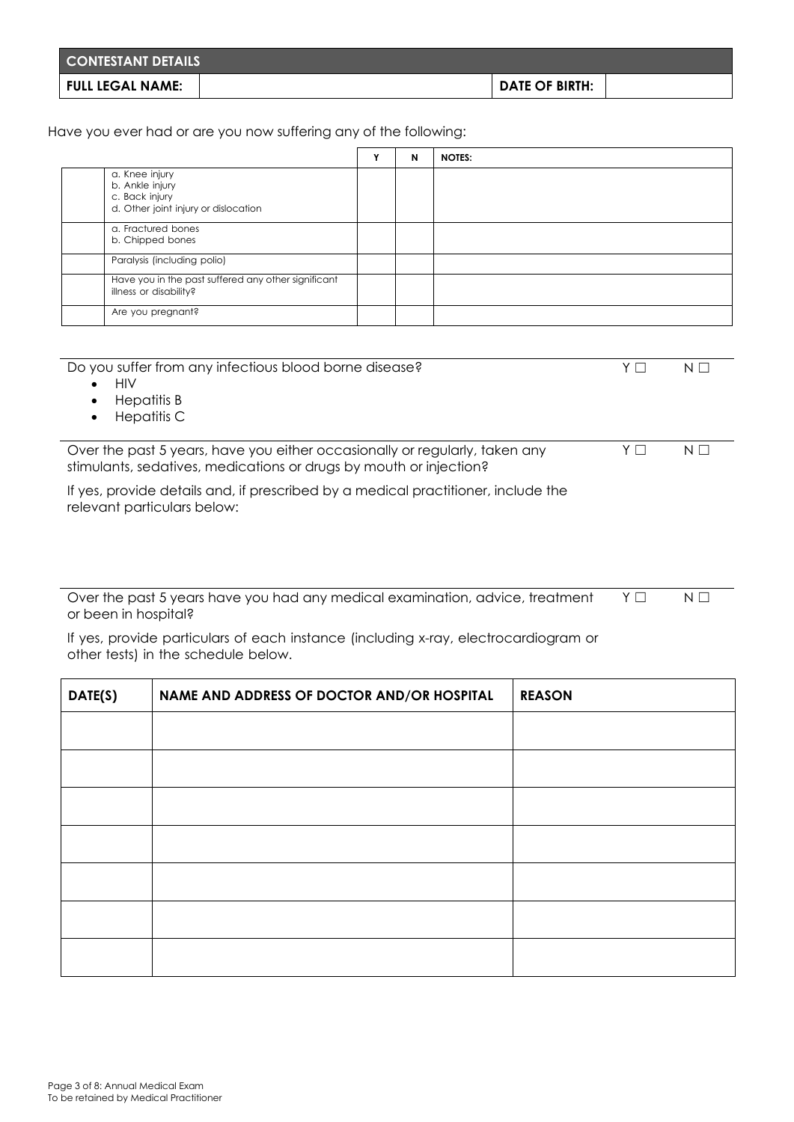| <b>CONTESTANT DETAILS</b> |                |  |
|---------------------------|----------------|--|
| <b>FULL LEGAL NAME:</b>   | DATE OF BIRTH: |  |

Have you ever had or are you now suffering any of the following:

|                                                     |                                                     | N | <b>NOTES:</b> |
|-----------------------------------------------------|-----------------------------------------------------|---|---------------|
| a. Knee injury<br>b. Ankle injury<br>c. Back injury | d. Other joint injury or dislocation                |   |               |
| a. Fractured bones<br>b. Chipped bones              |                                                     |   |               |
| Paralysis (including polio)                         |                                                     |   |               |
| illness or disability?                              | Have you in the past suffered any other significant |   |               |
| Are you pregnant?                                   |                                                     |   |               |

| Do you suffer from any infectious blood borne disease?<br><b>HIV</b><br>$\bullet$<br>Hepatitis B<br>$\bullet$<br><b>Hepatitis C</b><br>$\bullet$  |    |    |
|---------------------------------------------------------------------------------------------------------------------------------------------------|----|----|
| Over the past 5 years, have you either occasionally or regularly, taken any<br>stimulants, sedatives, medications or drugs by mouth or injection? | YΓ | NI |
| If yes, provide details and, if prescribed by a medical practitioner, include the<br>relevant particulars below:                                  |    |    |

Over the past 5 years have you had any medical examination, advice, treatment or been in hospital? Y □ N □

If yes, provide particulars of each instance (including x-ray, electrocardiogram or other tests) in the schedule below.

| DATE(S) | NAME AND ADDRESS OF DOCTOR AND/OR HOSPITAL | <b>REASON</b> |
|---------|--------------------------------------------|---------------|
|         |                                            |               |
|         |                                            |               |
|         |                                            |               |
|         |                                            |               |
|         |                                            |               |
|         |                                            |               |
|         |                                            |               |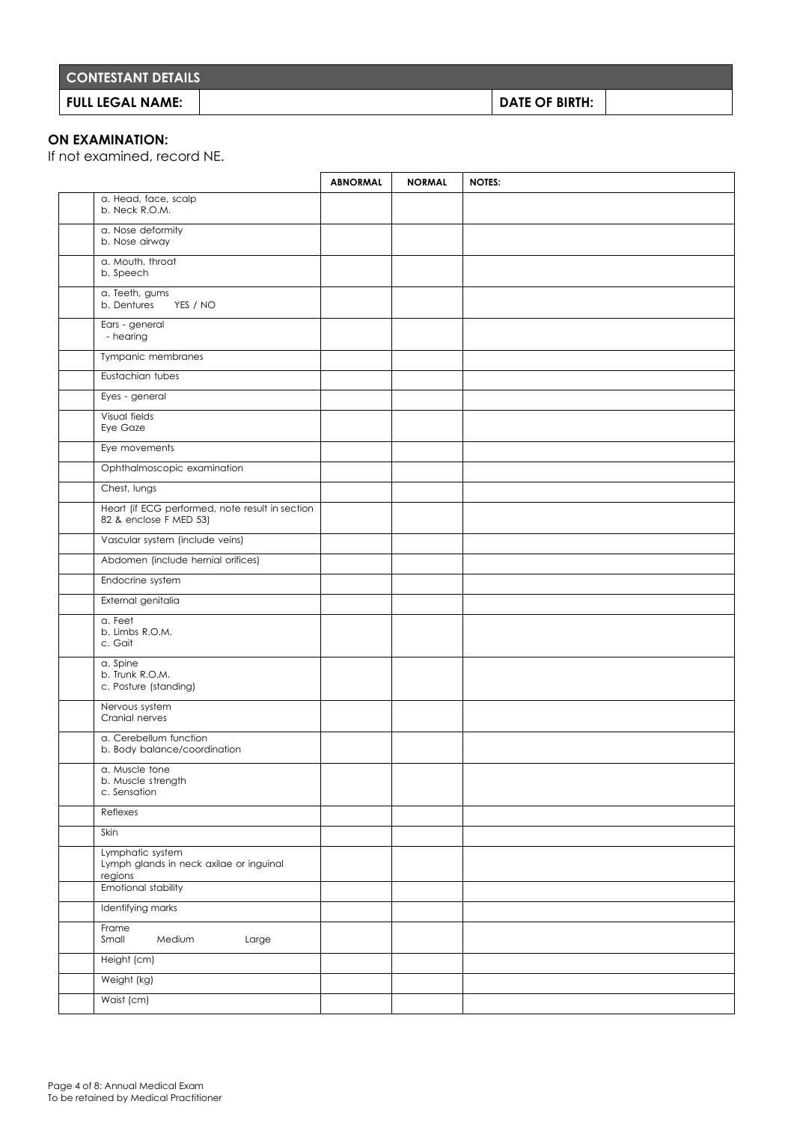| <b>CONTESTANT DETAILS</b> |                       |  |
|---------------------------|-----------------------|--|
| FULL LEGAL NAME:          | <b>DATE OF BIRTH:</b> |  |

### **ON EXAMINATION:**

If not examined, record NE.

|                                                                           | <b>ABNORMAL</b> | <b>NORMAL</b> | <b>NOTES:</b> |
|---------------------------------------------------------------------------|-----------------|---------------|---------------|
| a. Head, face, scalp<br>b. Neck R.O.M.                                    |                 |               |               |
| a. Nose deformity<br>b. Nose airway                                       |                 |               |               |
| a. Mouth, throat<br>b. Speech                                             |                 |               |               |
| a. Teeth, gums<br>b. Dentures<br>YES / NO                                 |                 |               |               |
| Ears - general<br>- hearing                                               |                 |               |               |
| Tympanic membranes                                                        |                 |               |               |
| Eustachian tubes                                                          |                 |               |               |
| Eyes - general                                                            |                 |               |               |
| Visual fields<br>Eye Gaze                                                 |                 |               |               |
| Eye movements                                                             |                 |               |               |
| Ophthalmoscopic examination                                               |                 |               |               |
| Chest, lungs                                                              |                 |               |               |
| Heart (if ECG performed, note result in section<br>82 & enclose F MED 53) |                 |               |               |
| Vascular system (include veins)                                           |                 |               |               |
| Abdomen (include hernial orifices)                                        |                 |               |               |
| Endocrine system                                                          |                 |               |               |
| External genitalia                                                        |                 |               |               |
| a. Feet<br>b. Limbs R.O.M.<br>c. Gait                                     |                 |               |               |
| a. Spine<br>b. Trunk R.O.M.<br>c. Posture (standing)                      |                 |               |               |
| Nervous system<br>Cranial nerves                                          |                 |               |               |
| a. Cerebellum function<br>b. Body balance/coordination                    |                 |               |               |
| a. Muscle tone<br>b. Muscle strength<br>c. Sensation                      |                 |               |               |
| Reflexes                                                                  |                 |               |               |
| Skin                                                                      |                 |               |               |
| Lymphatic system<br>Lymph glands in neck axilae or inguinal<br>regions    |                 |               |               |
| Emotional stability                                                       |                 |               |               |
| Identifying marks                                                         |                 |               |               |
| Frame<br>Small<br>Medium<br>Large                                         |                 |               |               |
| Height (cm)                                                               |                 |               |               |
| Weight (kg)                                                               |                 |               |               |
| Waist (cm)                                                                |                 |               |               |
|                                                                           |                 |               |               |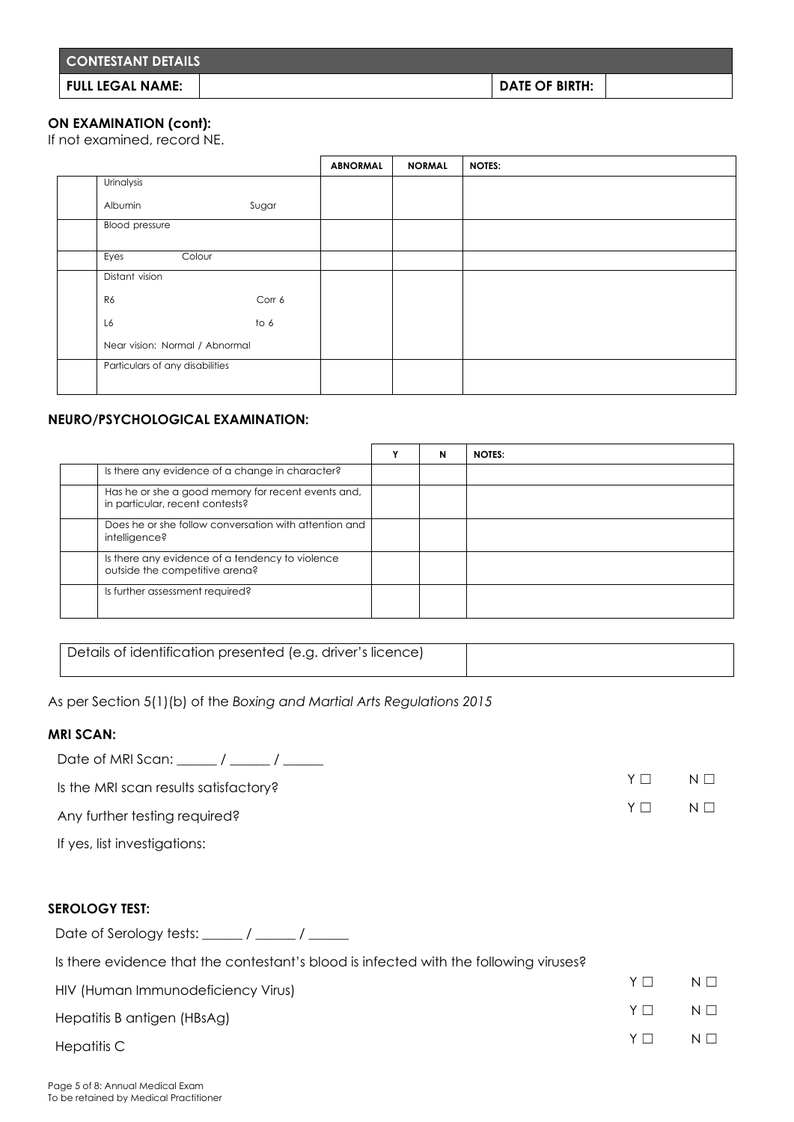| <b>CONTESTANT DETAILS</b> |                       |  |
|---------------------------|-----------------------|--|
| FULL LEGAL NAME:          | <b>DATE OF BIRTH:</b> |  |

### **ON EXAMINATION (cont):**

If not examined, record NE.

|                                 |        | <b>ABNORMAL</b> | <b>NORMAL</b> | <b>NOTES:</b> |
|---------------------------------|--------|-----------------|---------------|---------------|
| Urinalysis                      |        |                 |               |               |
| Albumin                         | Sugar  |                 |               |               |
| <b>Blood</b> pressure           |        |                 |               |               |
| Colour<br>Eyes                  |        |                 |               |               |
| Distant vision                  |        |                 |               |               |
| R6                              | Corr 6 |                 |               |               |
| L6                              | to 6   |                 |               |               |
| Near vision: Normal / Abnormal  |        |                 |               |               |
| Particulars of any disabilities |        |                 |               |               |

#### **NEURO/PSYCHOLOGICAL EXAMINATION:**

|                                                                                       | N | <b>NOTES:</b> |
|---------------------------------------------------------------------------------------|---|---------------|
| Is there any evidence of a change in character?                                       |   |               |
| Has he or she a good memory for recent events and,<br>in particular, recent contests? |   |               |
| Does he or she follow conversation with attention and<br>intelligence?                |   |               |
| Is there any evidence of a tendency to violence<br>outside the competitive arena?     |   |               |
| Is further assessment required?                                                       |   |               |

Details of identification presented (e.g. driver's licence)

As per Section 5(1)(b) of the *Boxing and Martial Arts Regulations 2015*

#### **MRI SCAN:**

| Date of MRI Scan: $\frac{1}{\sqrt{2\pi}}$ / $\frac{1}{\sqrt{2\pi}}$ |   |          |
|---------------------------------------------------------------------|---|----------|
| Is the MRI scan results satisfactory?                               | Y | $N \Box$ |
| Any further testing required?                                       | Y | $N \Box$ |

If yes, list investigations:

#### **SEROLOGY TEST:**

Date of Serology tests:  $\frac{1}{2}$  /  $\frac{1}{2}$ 

| Is there evidence that the contestant's blood is infected with the following viruses? |    |          |  |  |
|---------------------------------------------------------------------------------------|----|----------|--|--|
| HIV (Human Immunodeficiency Virus)                                                    | YΠ | $N \Box$ |  |  |
| Hepatitis B antigen (HBsAg)                                                           | YΠ | $N \Box$ |  |  |
| Hepatitis C                                                                           | Y  | $N \Box$ |  |  |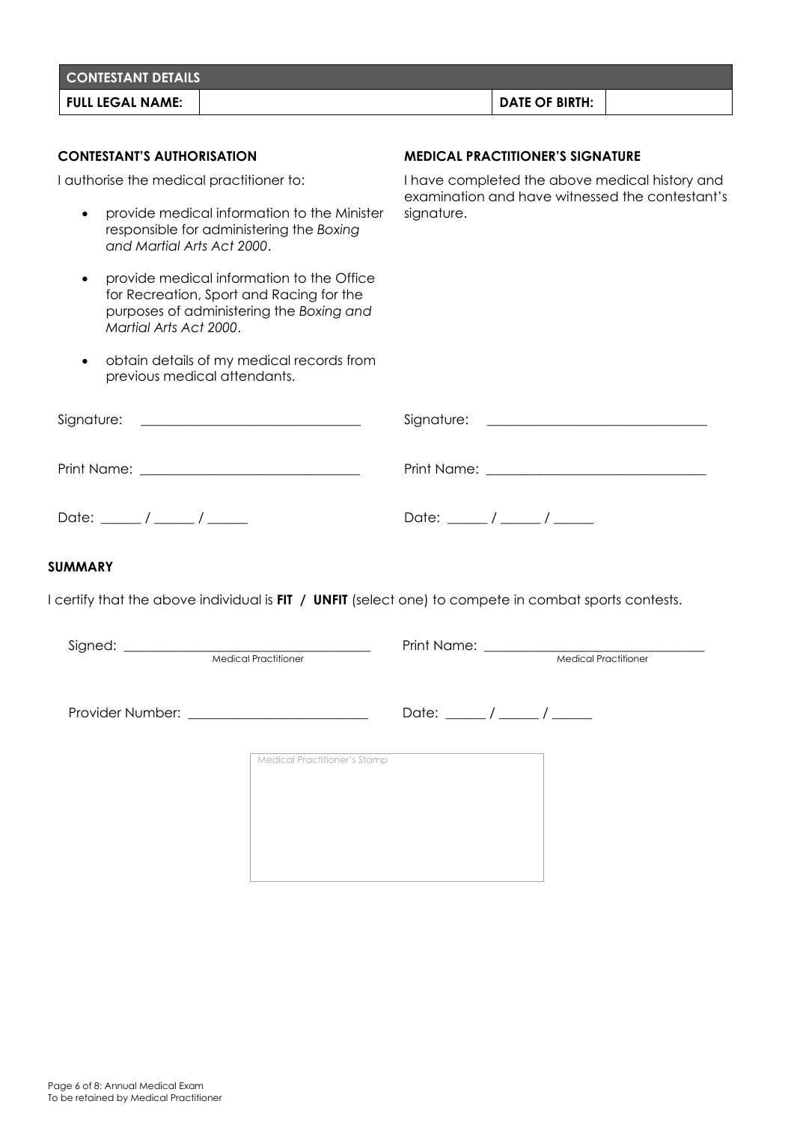| <b>CONTESTANT DETAILS</b>                                                                                                                                   |                                                                                                   |  |  |  |
|-------------------------------------------------------------------------------------------------------------------------------------------------------------|---------------------------------------------------------------------------------------------------|--|--|--|
| <b>FULL LEGAL NAME:</b>                                                                                                                                     | <b>DATE OF BIRTH:</b>                                                                             |  |  |  |
|                                                                                                                                                             |                                                                                                   |  |  |  |
| <b>CONTESTANT'S AUTHORISATION</b>                                                                                                                           | <b>MEDICAL PRACTITIONER'S SIGNATURE</b>                                                           |  |  |  |
| I authorise the medical practitioner to:                                                                                                                    | I have completed the above medical history and<br>examination and have witnessed the contestant's |  |  |  |
| provide medical information to the Minister<br>$\bullet$<br>responsible for administering the Boxing<br>and Martial Arts Act 2000.                          | signature.                                                                                        |  |  |  |
| provide medical information to the Office<br>for Recreation, Sport and Racing for the<br>purposes of administering the Boxing and<br>Martial Arts Act 2000. |                                                                                                   |  |  |  |
| obtain details of my medical records from<br>$\bullet$<br>previous medical attendants.                                                                      |                                                                                                   |  |  |  |
| <u> 1980 - Johann Barbara, martin amerikan basa</u><br>Signature:                                                                                           |                                                                                                   |  |  |  |
|                                                                                                                                                             |                                                                                                   |  |  |  |
| Date: $\frac{1}{\sqrt{2\pi}}$                                                                                                                               | Date: $\frac{1}{\sqrt{2\pi}}$                                                                     |  |  |  |
| <b>SUMMARY</b>                                                                                                                                              |                                                                                                   |  |  |  |
| I certify that the above individual is FIT / UNFIT (select one) to compete in combat sports contests.                                                       |                                                                                                   |  |  |  |
|                                                                                                                                                             | Print Name: __________                                                                            |  |  |  |
| Medical Practitioner                                                                                                                                        | <b>Medical Practitioner</b>                                                                       |  |  |  |
|                                                                                                                                                             | Date: $\frac{1}{\sqrt{2\pi}}$                                                                     |  |  |  |
| Medical Practitioner's Stamp                                                                                                                                |                                                                                                   |  |  |  |
|                                                                                                                                                             |                                                                                                   |  |  |  |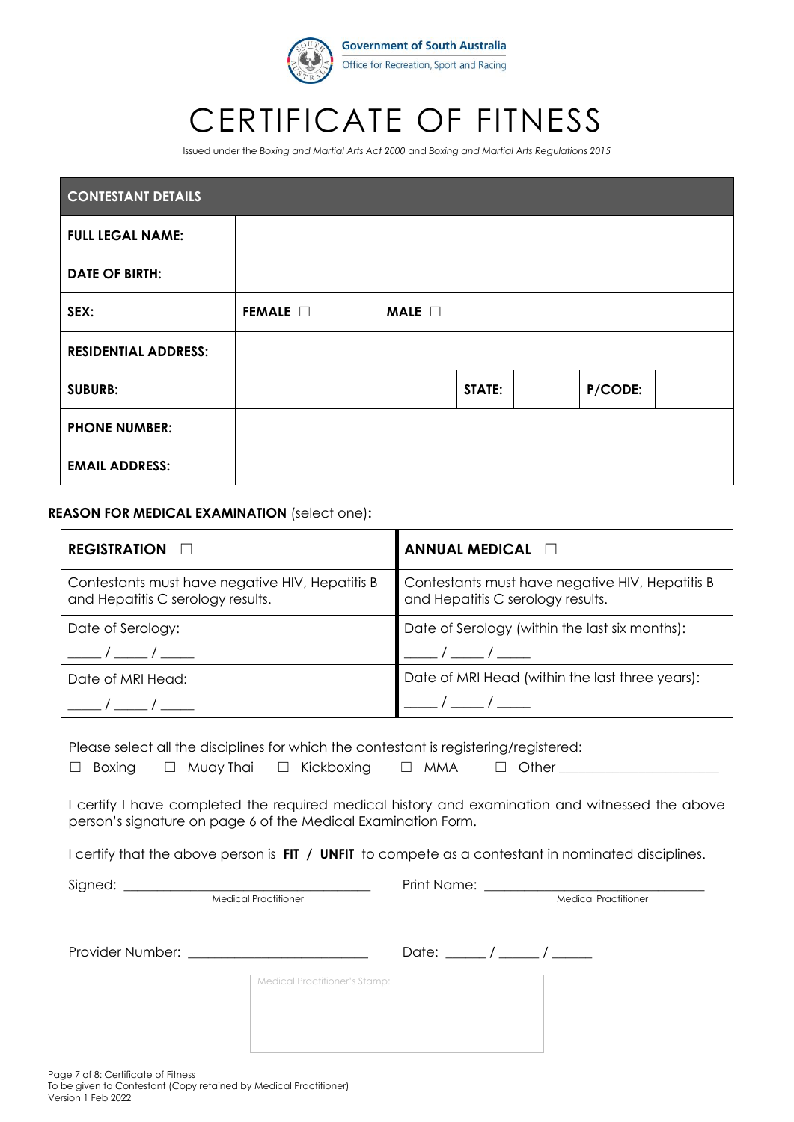

# CERTIFICATE OF FITNESS

Issued under the *Boxing and Martial Arts Act 2000* and *Boxing and Martial Arts Regulations 2015*

| <b>CONTESTANT DETAILS</b>   |                 |             |        |         |  |
|-----------------------------|-----------------|-------------|--------|---------|--|
| <b>FULL LEGAL NAME:</b>     |                 |             |        |         |  |
| <b>DATE OF BIRTH:</b>       |                 |             |        |         |  |
| SEX:                        | FEMALE <b>D</b> | MALE $\Box$ |        |         |  |
| <b>RESIDENTIAL ADDRESS:</b> |                 |             |        |         |  |
| <b>SUBURB:</b>              |                 |             | STATE: | P/CODE: |  |
| <b>PHONE NUMBER:</b>        |                 |             |        |         |  |
| <b>EMAIL ADDRESS:</b>       |                 |             |        |         |  |

#### **REASON FOR MEDICAL EXAMINATION** (select one)**:**

| REGISTRATION <b>D</b>                                                                | ANNUAL MEDICAL <b>D</b>                                                              |
|--------------------------------------------------------------------------------------|--------------------------------------------------------------------------------------|
| Contestants must have negative HIV, Hepatitis B<br>and Hepatitis C serology results. | Contestants must have negative HIV, Hepatitis B<br>and Hepatitis C serology results. |
| Date of Serology:                                                                    | Date of Serology (within the last six months):                                       |
|                                                                                      |                                                                                      |
| Date of MRI Head:                                                                    | Date of MRI Head (within the last three years):                                      |
|                                                                                      |                                                                                      |

Please select all the disciplines for which the contestant is registering/registered:

|  | $\Box$ Boxing |  | $\Box$ Muay Thai |  | $\Box$ Kickbo |
|--|---------------|--|------------------|--|---------------|
|--|---------------|--|------------------|--|---------------|

 $\mathsf{using} \quad \Box \quad \mathsf{MMA} \qquad \Box \quad \mathsf{Other}$ 

I certify I have completed the required medical history and examination and witnessed the above person's signature on page 6 of the Medical Examination Form.

I certify that the above person is **FIT / UNFIT** to compete as a contestant in nominated disciplines.

Medical Practitioner

Signed: \_\_\_\_\_\_\_\_\_\_\_\_\_\_\_\_\_\_\_\_\_\_\_\_\_\_\_\_\_\_\_\_\_\_\_\_\_ Print Name: \_\_\_\_\_\_\_\_\_\_\_\_\_\_\_\_\_\_\_\_\_\_\_\_\_\_\_\_\_\_\_\_\_

| Provider Number: |                               | Date: $/$ / |  |
|------------------|-------------------------------|-------------|--|
|                  | Medical Practitioner's Stamp: |             |  |